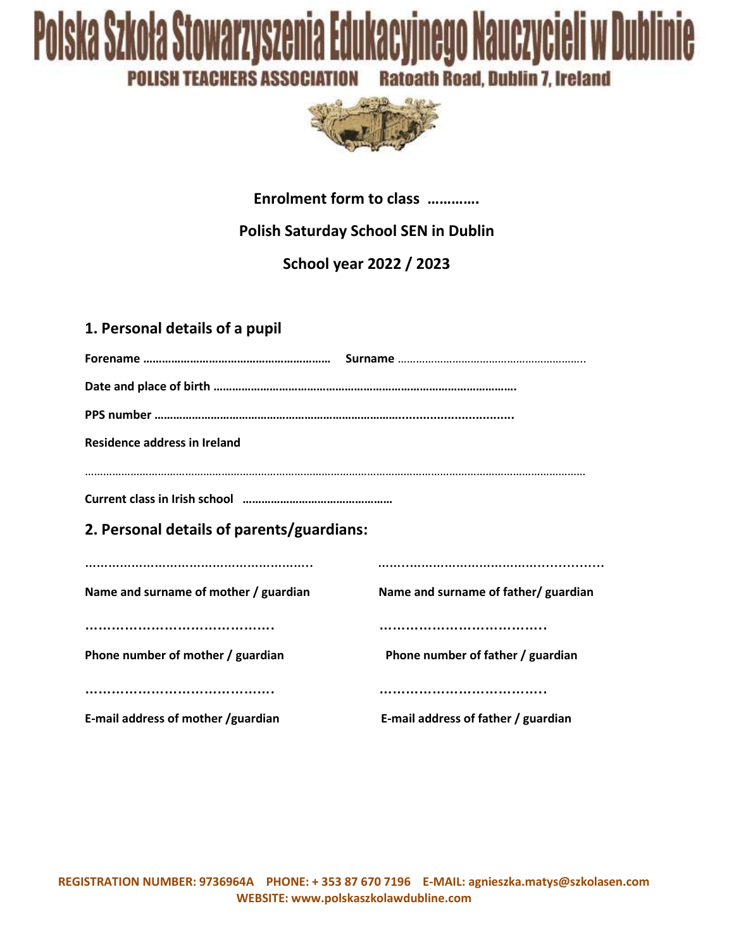# Polska Szkoła Stowarzyszenia Edukacyjnego Nauczycieli w Dublinie **Ratoath Road, Dublin 7, Ireland POLISH TEACHERS ASSOCIATION**



#### **Enrolment form to class ………….**

# **Polish Saturday School SEN in Dublin**

**School year 2022 / 2023**

## **1. Personal details of a pupil**

| <b>Residence address in Ireland</b>       |                                      |  |
|-------------------------------------------|--------------------------------------|--|
|                                           |                                      |  |
|                                           |                                      |  |
| 2. Personal details of parents/guardians: |                                      |  |
|                                           |                                      |  |
|                                           |                                      |  |
| Name and surname of mother / guardian     | Name and surname of father/ guardian |  |
|                                           |                                      |  |
| Phone number of mother / guardian         | Phone number of father / guardian    |  |
|                                           |                                      |  |
|                                           |                                      |  |
| E-mail address of mother /guardian        | E-mail address of father / guardian  |  |